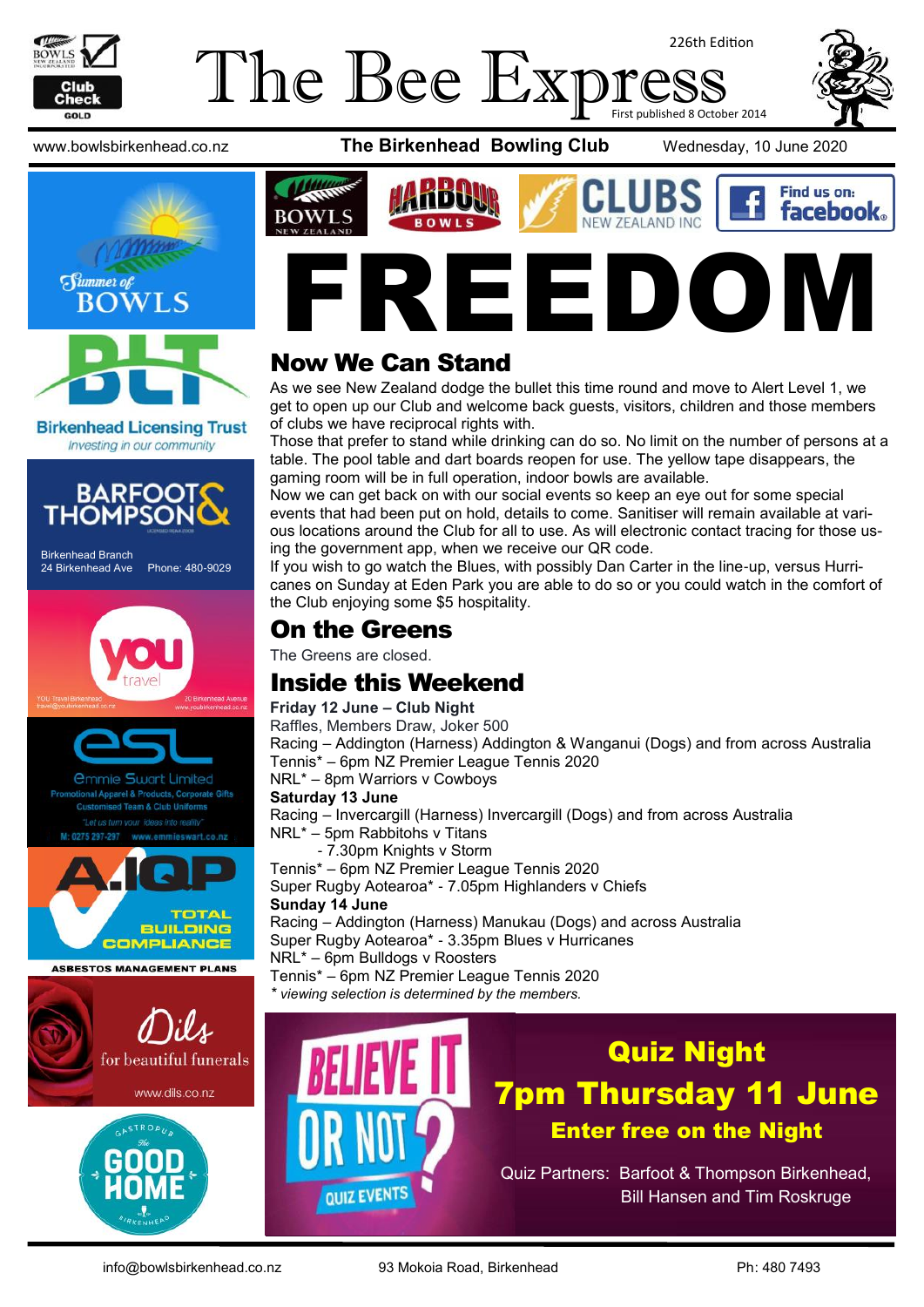

## The Bee Expi 226th Edition First published 8 October 2014

www.bowlsbirkenhead.co.nz **The Birkenhead Bowling Club** Wednesday, 10 June 2020



**Birkenhead Licensing Trust** Investing in our community



Birkenhead Branch 24 Birkenhead Ave Phone: 480-9029







**ASBESTOS MANAGEMENT PLANS** 







## Now We Can Stand

As we see New Zealand dodge the bullet this time round and move to Alert Level 1, we get to open up our Club and welcome back guests, visitors, children and those members of clubs we have reciprocal rights with.

Those that prefer to stand while drinking can do so. No limit on the number of persons at a table. The pool table and dart boards reopen for use. The yellow tape disappears, the gaming room will be in full operation, indoor bowls are available.

Now we can get back on with our social events so keep an eye out for some special events that had been put on hold, details to come. Sanitiser will remain available at various locations around the Club for all to use. As will electronic contact tracing for those using the government app, when we receive our QR code.

If you wish to go watch the Blues, with possibly Dan Carter in the line-up, versus Hurricanes on Sunday at Eden Park you are able to do so or you could watch in the comfort of the Club enjoying some \$5 hospitality.

## On the Greens

The Greens are closed.

## Inside this Weekend

#### **Friday 12 June – Club Night**

Raffles, Members Draw, Joker 500 Racing – Addington (Harness) Addington & Wanganui (Dogs) and from across Australia Tennis\* – 6pm NZ Premier League Tennis 2020

NRL\* – 8pm Warriors v Cowboys

#### **Saturday 13 June**

Racing – Invercargill (Harness) Invercargill (Dogs) and from across Australia NRL\* – 5pm Rabbitohs v Titans

- 7.30pm Knights v Storm

Tennis\* – 6pm NZ Premier League Tennis 2020 Super Rugby Aotearoa\* - 7.05pm Highlanders v Chiefs

#### **Sunday 14 June**

Racing – Addington (Harness) Manukau (Dogs) and across Australia Super Rugby Aotearoa\* - 3.35pm Blues v Hurricanes NRL\* – 6pm Bulldogs v Roosters Tennis\* – 6pm NZ Premier League Tennis 2020

*\* viewing selection is determined by the members.*



# Quiz Night 7pm Thursday 11 June Enter free on the Night

Quiz Partners: Barfoot & Thompson Birkenhead, Bill Hansen and Tim Roskruge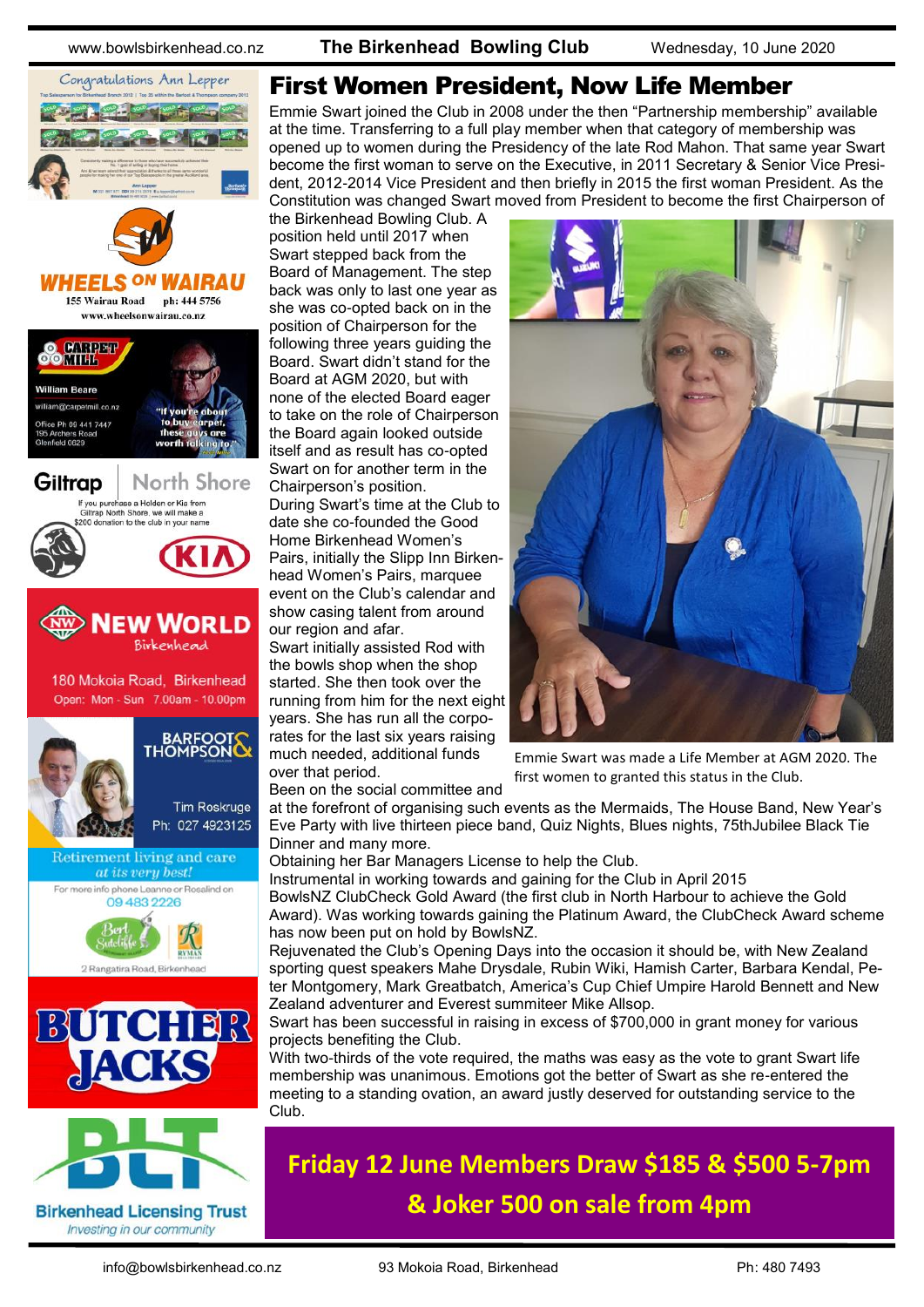www.bowlsbirkenhead.co.nz **The Birkenhead Bowling Club** Wednesday, 10 June 2020



**Birkenhead Licensing Trust** Investing in our community

## First Women President, Now Life Member

Emmie Swart joined the Club in 2008 under the then "Partnership membership" available at the time. Transferring to a full play member when that category of membership was opened up to women during the Presidency of the late Rod Mahon. That same year Swart become the first woman to serve on the Executive, in 2011 Secretary & Senior Vice President, 2012-2014 Vice President and then briefly in 2015 the first woman President. As the Constitution was changed Swart moved from President to become the first Chairperson of

the Birkenhead Bowling Club. A position held until 2017 when Swart stepped back from the Board of Management. The step back was only to last one year as she was co-opted back on in the position of Chairperson for the following three years guiding the Board. Swart didn't stand for the Board at AGM 2020, but with none of the elected Board eager to take on the role of Chairperson the Board again looked outside itself and as result has co-opted Swart on for another term in the Chairperson's position.

During Swart's time at the Club to date she co-founded the Good Home Birkenhead Women's Pairs, initially the Slipp Inn Birkenhead Women's Pairs, marquee event on the Club's calendar and show casing talent from around our region and afar.

Swart initially assisted Rod with the bowls shop when the shop started. She then took over the running from him for the next eight years. She has run all the corporates for the last six years raising much needed, additional funds over that period.

Been on the social committee and



Emmie Swart was made a Life Member at AGM 2020. The first women to granted this status in the Club.

at the forefront of organising such events as the Mermaids, The House Band, New Year's Eve Party with live thirteen piece band, Quiz Nights, Blues nights, 75thJubilee Black Tie Dinner and many more.

Obtaining her Bar Managers License to help the Club.

Instrumental in working towards and gaining for the Club in April 2015

BowlsNZ ClubCheck Gold Award (the first club in North Harbour to achieve the Gold Award). Was working towards gaining the Platinum Award, the ClubCheck Award scheme has now been put on hold by BowlsNZ.

Rejuvenated the Club's Opening Days into the occasion it should be, with New Zealand sporting quest speakers Mahe Drysdale, Rubin Wiki, Hamish Carter, Barbara Kendal, Peter Montgomery, Mark Greatbatch, America's Cup Chief Umpire Harold Bennett and New Zealand adventurer and Everest summiteer Mike Allsop.

Swart has been successful in raising in excess of \$700,000 in grant money for various projects benefiting the Club.

With two-thirds of the vote required, the maths was easy as the vote to grant Swart life membership was unanimous. Emotions got the better of Swart as she re-entered the meeting to a standing ovation, an award justly deserved for outstanding service to the Club.

# **Friday 12 June Members Draw \$185 & \$500 5-7pm & Joker 500 on sale from 4pm**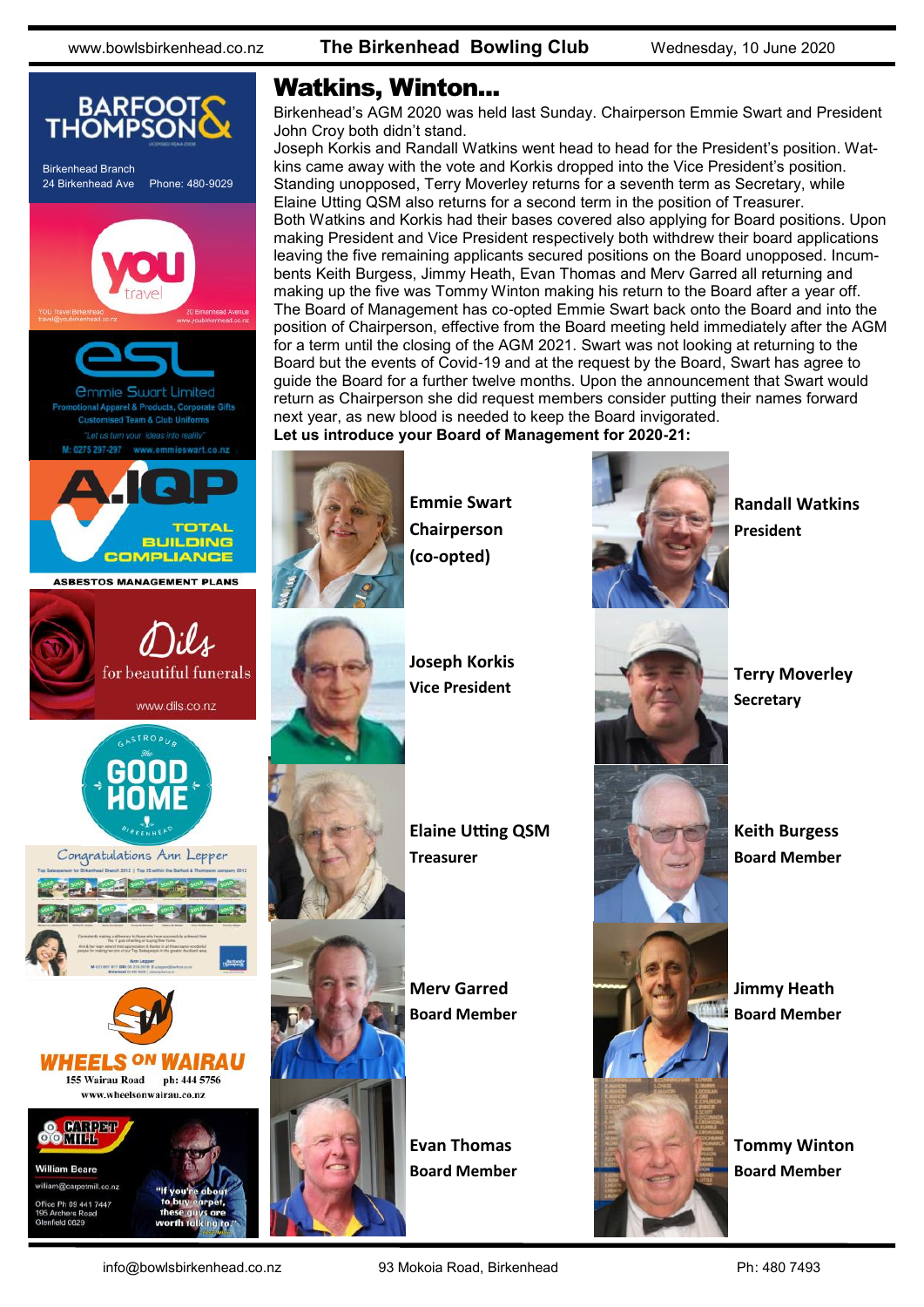

## Watkins, Winton...

Birkenhead's AGM 2020 was held last Sunday. Chairperson Emmie Swart and President John Croy both didn't stand.

Joseph Korkis and Randall Watkins went head to head for the President's position. Watkins came away with the vote and Korkis dropped into the Vice President's position. Standing unopposed, Terry Moverley returns for a seventh term as Secretary, while Elaine Utting QSM also returns for a second term in the position of Treasurer. Both Watkins and Korkis had their bases covered also applying for Board positions. Upon making President and Vice President respectively both withdrew their board applications leaving the five remaining applicants secured positions on the Board unopposed. Incumbents Keith Burgess, Jimmy Heath, Evan Thomas and Merv Garred all returning and making up the five was Tommy Winton making his return to the Board after a year off. The Board of Management has co-opted Emmie Swart back onto the Board and into the position of Chairperson, effective from the Board meeting held immediately after the AGM for a term until the closing of the AGM 2021. Swart was not looking at returning to the Board but the events of Covid-19 and at the request by the Board, Swart has agree to guide the Board for a further twelve months. Upon the announcement that Swart would return as Chairperson she did request members consider putting their names forward next year, as new blood is needed to keep the Board invigorated. **Let us introduce your Board of Management for 2020-21:**



**Emmie Swart Chairperson (co-opted)**

**Joseph Korkis Vice President**

**Elaine Utting QSM**

**Treasurer**

**Merv Garred Board Member**

**Evan Thomas Board Member**



**Randall Watkins President**



**Terry Moverley Secretary**

**Keith Burgess Board Member**

**Jimmy Heath Board Member**

**Tommy Winton Board Member**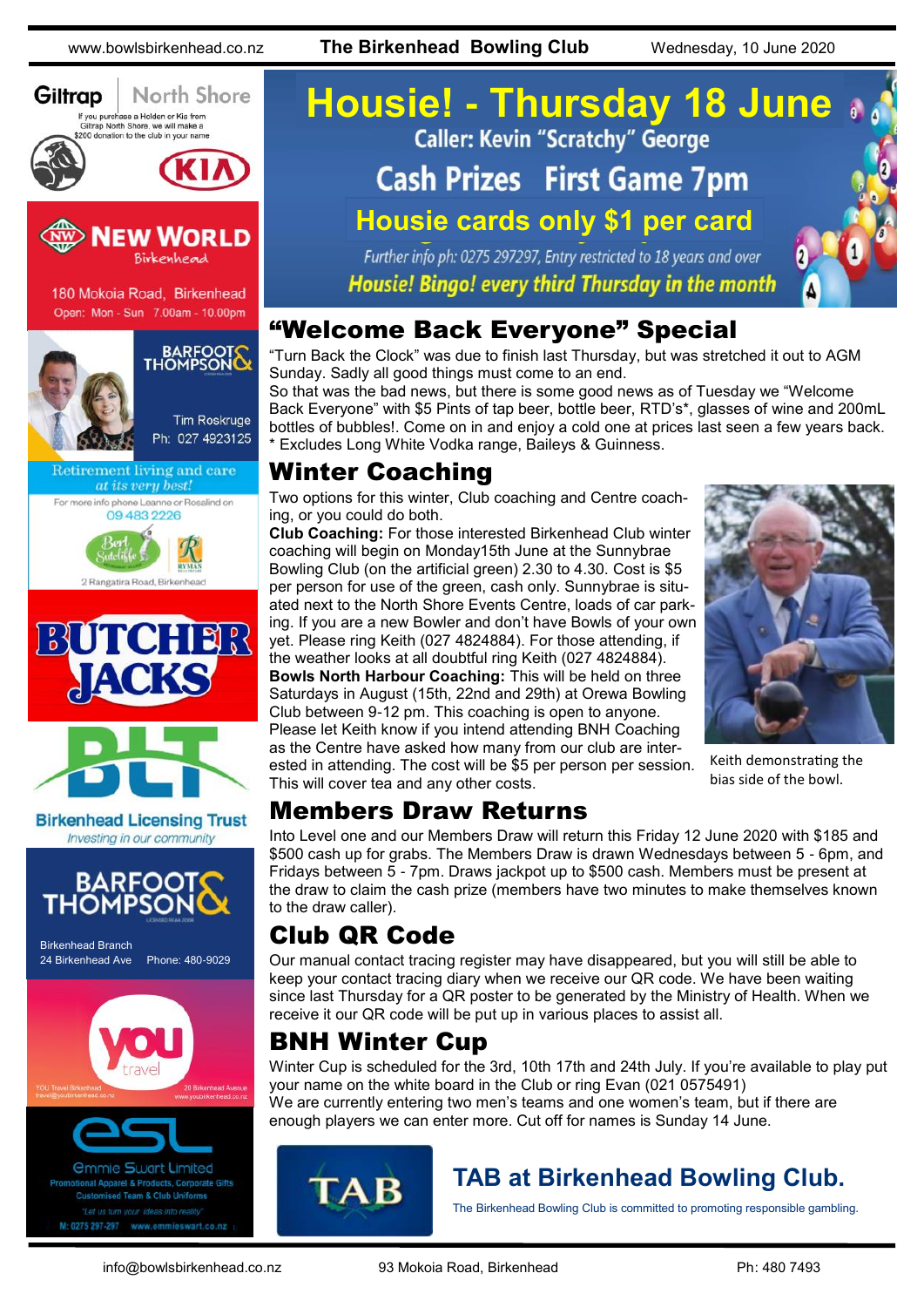Tim Roskruge Ph: 027 4923125

Retirement living and care at its very best! For more info phone Leanne or Rosalind on 09 483 2226

2 Rangatira Road, Birk

BUTCHER

ACKS

Giltrap



So that was the bad news, but there is some good news as of Tuesday we "Welcome Back Everyone" with \$5 Pints of tap beer, bottle beer, RTD's\*, glasses of wine and 200mL bottles of bubbles!. Come on in and enjoy a cold one at prices last seen a few years back. \* Excludes Long White Vodka range, Baileys & Guinness.

## Winter Coaching

Two options for this winter, Club coaching and Centre coaching, or you could do both.

**Club Coaching:** For those interested Birkenhead Club winter coaching will begin on Monday15th June at the Sunnybrae Bowling Club (on the artificial green) 2.30 to 4.30. Cost is \$5 per person for use of the green, cash only. Sunnybrae is situated next to the North Shore Events Centre, loads of car parking. If you are a new Bowler and don't have Bowls of your own yet. Please ring Keith (027 4824884). For those attending, if the weather looks at all doubtful ring Keith (027 4824884). **Bowls North Harbour Coaching:** This will be held on three Saturdays in August (15th, 22nd and 29th) at Orewa Bowling Club between 9-12 pm. This coaching is open to anyone. Please let Keith know if you intend attending BNH Coaching as the Centre have asked how many from our club are interested in attending. The cost will be \$5 per person per session. This will cover tea and any other costs.



Into Level one and our Members Draw will return this Friday 12 June 2020 with \$185 and \$500 cash up for grabs. The Members Draw is drawn Wednesdays between 5 - 6pm, and Fridays between 5 - 7pm. Draws jackpot up to \$500 cash. Members must be present at the draw to claim the cash prize (members have two minutes to make themselves known to the draw caller).

## Club QR Code

Our manual contact tracing register may have disappeared, but you will still be able to keep your contact tracing diary when we receive our QR code. We have been waiting since last Thursday for a QR poster to be generated by the Ministry of Health. When we receive it our QR code will be put up in various places to assist all.

## BNH Winter Cup

Winter Cup is scheduled for the 3rd, 10th 17th and 24th July. If you're available to play put your name on the white board in the Club or ring Evan (021 0575491) We are currently entering two men's teams and one women's team, but if there are enough players we can enter more. Cut off for names is Sunday 14 June.



# **TAB at Birkenhead Bowling Club.**

The Birkenhead Bowling Club is committed to promoting responsible gambling.

Keith demonstrating the bias side of the bowl.

Birkenhead Branch

HOMP

24 Birkenhead Ave Phone: 480-9029

mmie Swart Limited

rel & Products, Cornorate Gif d Team & Club Hn 0275 297-297 www.emmieswart.co.na

**BARFOO** 

**Birkenhead Licensing Trust** Investing in our community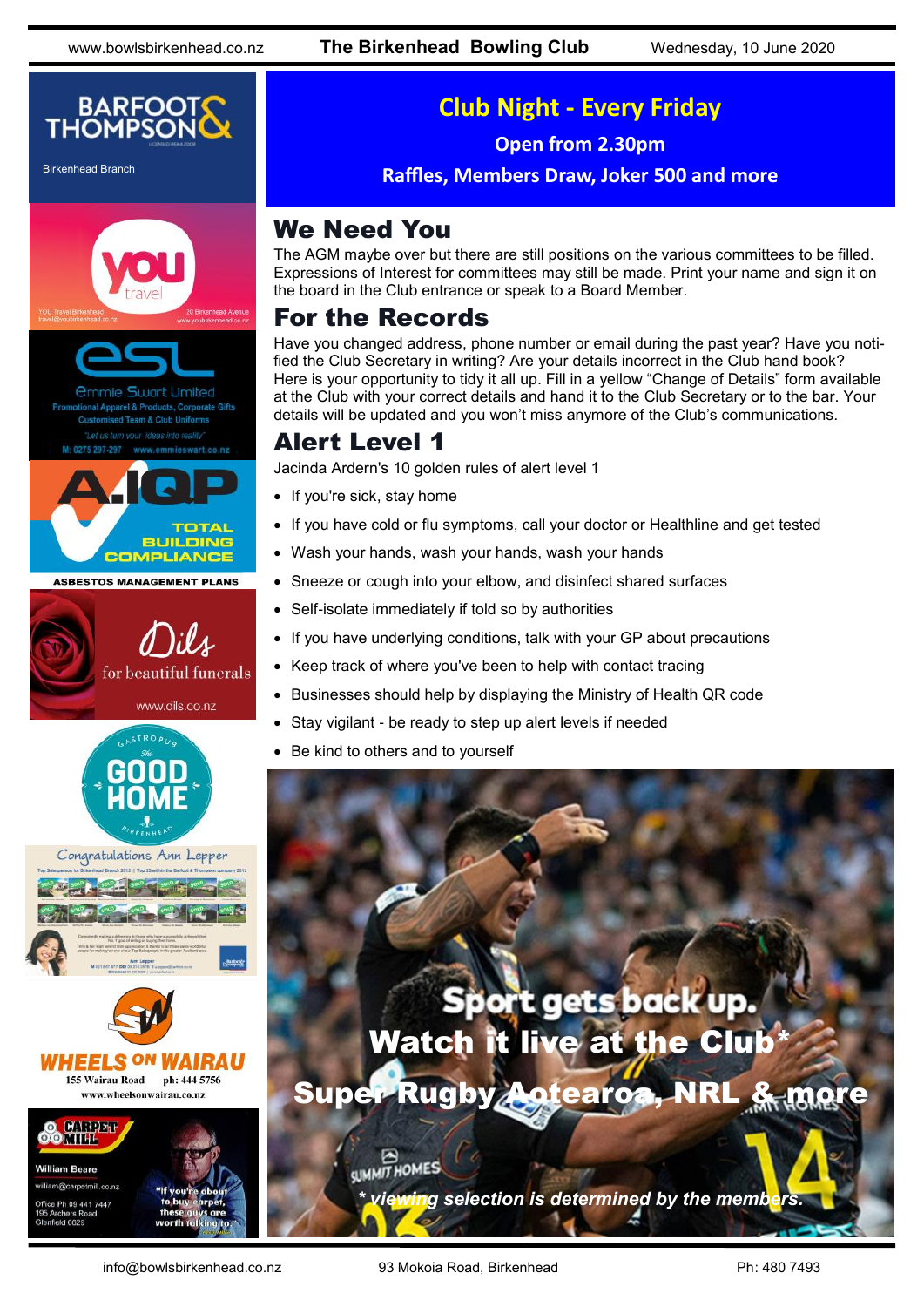

Birkenhead Branch









## **Club Night - Every Friday**

**Open from 2.30pm**

**Raffles, Members Draw, Joker 500 and more**

## We Need You

The AGM maybe over but there are still positions on the various committees to be filled. Expressions of Interest for committees may still be made. Print your name and sign it on the board in the Club entrance or speak to a Board Member.

## For the Records

Have you changed address, phone number or email during the past year? Have you notified the Club Secretary in writing? Are your details incorrect in the Club hand book? Here is your opportunity to tidy it all up. Fill in a yellow "Change of Details" form available at the Club with your correct details and hand it to the Club Secretary or to the bar. Your details will be updated and you won't miss anymore of the Club's communications.

## Alert Level 1

Jacinda Ardern's 10 golden rules of alert level 1

- If you're sick, stay home
- If you have cold or flu symptoms, call your doctor or Healthline and get tested
- Wash your hands, wash your hands, wash your hands
- Sneeze or cough into your elbow, and disinfect shared surfaces
- Self-isolate immediately if told so by authorities
- If you have underlying conditions, talk with your GP about precautions
- Keep track of where you've been to help with contact tracing
- Businesses should help by displaying the Ministry of Health QR code
- Stay vigilant be ready to step up alert levels if needed
- Be kind to others and to yourself



<u>ra selection is determined by the members.</u>